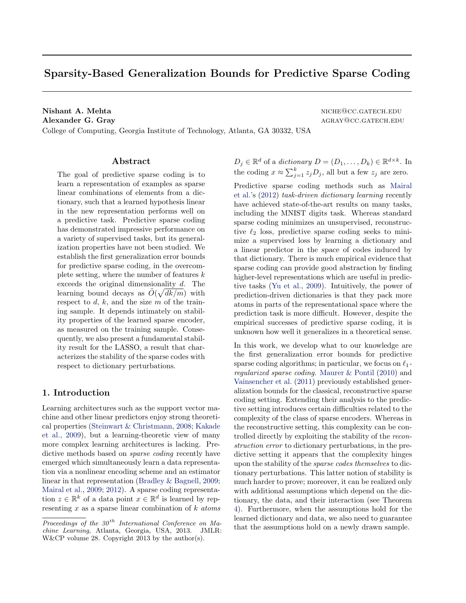# Sparsity-Based Generalization Bounds for Predictive Sparse Coding

Nishant A. Mehta niche niche auch auch der Erichem auch der Erichem und einer auch auch der Erichem auch der Erichem annehmen auch der Erichem auch der Erichem auch der Erichem auch der Erichem auch der Erichem auch der Er Alexander G. Gray and the contract of the contract of the contract of the contract of the contract of the contract of the contract of the contract of the contract of the contract of the contract of the contract of the cont College of Computing, Georgia Institute of Technology, Atlanta, GA 30332, USA

Abstract

The goal of predictive sparse coding is to learn a representation of examples as sparse linear combinations of elements from a dictionary, such that a learned hypothesis linear in the new representation performs well on a predictive task. Predictive sparse coding has demonstrated impressive performance on a variety of supervised tasks, but its generalization properties have not been studied. We establish the first generalization error bounds for predictive sparse coding, in the overcomplete setting, where the number of features  $k$ exceeds the original dimensionality  $d$ . The learning bound decays as  $\tilde{O}(\sqrt{dk/m})$  with respect to  $d, k$ , and the size  $m$  of the training sample. It depends intimately on stability properties of the learned sparse encoder, as measured on the training sample. Consequently, we also present a fundamental stability result for the LASSO, a result that characterizes the stability of the sparse codes with respect to dictionary perturbations.

### 1. Introduction

Learning architectures such as the support vector machine and other linear predictors enjoy strong theoretical properties [\(Steinwart & Christmann,](#page-8-0) [2008;](#page-8-0) [Kakade](#page-8-0) [et al.,](#page-8-0) [2009\)](#page-8-0), but a learning-theoretic view of many more complex learning architectures is lacking. Predictive methods based on *sparse coding* recently have emerged which simultaneously learn a data representation via a nonlinear encoding scheme and an estimator linear in that representation [\(Bradley & Bagnell,](#page-8-0) [2009;](#page-8-0) [Mairal et al.,](#page-8-0) [2009;](#page-8-0) [2012\)](#page-8-0). A sparse coding representation  $z \in \mathbb{R}^k$  of a data point  $x \in \mathbb{R}^d$  is learned by representing  $x$  as a sparse linear combination of  $k$  atoms  $D_j \in \mathbb{R}^d$  of a *dictionary*  $D = (D_1, \ldots, D_k) \in \mathbb{R}^{d \times k}$ . In the coding  $x \approx \sum_{j=1}^{k} z_j D_j$ , all but a few  $z_j$  are zero.

Predictive sparse coding methods such as [Mairal](#page-8-0) [et al.'](#page-8-0)s [\(2012\)](#page-8-0) task-driven dictionary learning recently have achieved state-of-the-art results on many tasks, including the MNIST digits task. Whereas standard sparse coding minimizes an unsupervised, reconstructive  $\ell_2$  loss, predictive sparse coding seeks to minimize a supervised loss by learning a dictionary and a linear predictor in the space of codes induced by that dictionary. There is much empirical evidence that sparse coding can provide good abstraction by finding higher-level representations which are useful in predictive tasks [\(Yu et al.,](#page-8-0) [2009\)](#page-8-0). Intuitively, the power of prediction-driven dictionaries is that they pack more atoms in parts of the representational space where the prediction task is more difficult. However, despite the empirical successes of predictive sparse coding, it is unknown how well it generalizes in a theoretical sense.

In this work, we develop what to our knowledge are the first generalization error bounds for predictive sparse coding algorithms; in particular, we focus on  $\ell_1$ regularized sparse coding. [Maurer & Pontil](#page-8-0) [\(2010\)](#page-8-0) and [Vainsencher et al.](#page-8-0) [\(2011\)](#page-8-0) previously established generalization bounds for the classical, reconstructive sparse coding setting. Extending their analysis to the predictive setting introduces certain difficulties related to the complexity of the class of sparse encoders. Whereas in the reconstructive setting, this complexity can be controlled directly by exploiting the stability of the reconstruction error to dictionary perturbations, in the predictive setting it appears that the complexity hinges upon the stability of the sparse codes themselves to dictionary perturbations. This latter notion of stability is much harder to prove; moreover, it can be realized only with additional assumptions which depend on the dictionary, the data, and their interaction (see Theorem [4\)](#page-2-0). Furthermore, when the assumptions hold for the learned dictionary and data, we also need to guarantee that the assumptions hold on a newly drawn sample.

Proceedings of the  $30<sup>th</sup>$  International Conference on Machine Learning, Atlanta, Georgia, USA, 2013. JMLR: W&CP volume 28. Copyright 2013 by the author(s).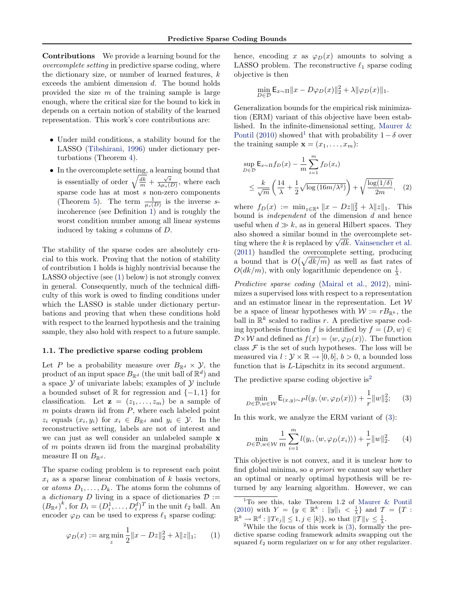<span id="page-1-0"></span>Contributions We provide a learning bound for the overcomplete setting in predictive sparse coding, where the dictionary size, or number of learned features,  $k$ exceeds the ambient dimension d. The bound holds provided the size  $m$  of the training sample is large enough, where the critical size for the bound to kick in depends on a certain notion of stability of the learned representation. This work's core contributions are:

- Under mild conditions, a stability bound for the LASSO [\(Tibshirani,](#page-8-0) [1996\)](#page-8-0) under dictionary perturbations (Theorem [4\)](#page-2-0).
- In the overcomplete setting, a learning bound that is essentially of order  $\sqrt{\frac{dk}{m}} + \frac{\sqrt{s}}{\lambda \mu_s}$  $\frac{\sqrt{s}}{\lambda \mu_s(D)}$ , where each sparse code has at most s non-zero components (Theorem [5\)](#page-3-0). The term  $\frac{1}{\mu_s(D)}$  is the inverse sincoherence (see Definition [1\)](#page-2-0) and is roughly the worst condition number among all linear systems induced by taking s columns of D.

The stability of the sparse codes are absolutely crucial to this work. Proving that the notion of stability of contribution 1 holds is highly nontrivial because the LASSO objective (see (1) below) is not strongly convex in general. Consequently, much of the technical difficulty of this work is owed to finding conditions under which the LASSO is stable under dictionary perturbations and proving that when these conditions hold with respect to the learned hypothesis and the training sample, they also hold with respect to a future sample.

#### 1.1. The predictive sparse coding problem

Let P be a probability measure over  $B_{\mathbb{R}^d} \times \mathcal{Y}$ , the product of an input space  $B_{\mathbb{R}^d}$  (the unit ball of  $\mathbb{R}^d$ ) and a space  $\mathcal Y$  of univariate labels; examples of  $\mathcal Y$  include a bounded subset of  $\mathbb R$  for regression and  $\{-1,1\}$  for classification. Let  $z = (z_1, \ldots, z_m)$  be a sample of  $m$  points drawn iid from  $P$ , where each labeled point  $z_i$  equals  $(x_i, y_i)$  for  $x_i \in B_{\mathbb{R}^d}$  and  $y_i \in \mathcal{Y}$ . In the reconstructive setting, labels are not of interest and we can just as well consider an unlabeled sample x of  $m$  points drawn iid from the marginal probability measure  $\Pi$  on  $B_{\mathbb{R}^d}$ .

The sparse coding problem is to represent each point  $x_i$  as a sparse linear combination of k basis vectors, or *atoms*  $D_1, \ldots, D_k$ . The atoms form the columns of a *dictionary* D living in a space of dictionaries  $\mathcal{D}$  :=  $(B_{\mathbb{R}^d})^k$ , for  $D_i = (D_i^1, \ldots, D_i^d)^T$  in the unit  $\ell_2$  ball. An encoder  $\varphi_D$  can be used to express  $\ell_1$  sparse coding:

$$
\varphi_D(x) := \argmin_{z} \frac{1}{2} ||x - Dz||_2^2 + \lambda ||z||_1; \qquad (1)
$$

hence, encoding x as  $\varphi_D(x)$  amounts to solving a LASSO problem. The reconstructive  $\ell_1$  sparse coding objective is then

$$
\min_{D \in \mathcal{D}} \mathsf{E}_{x \sim \Pi} \|x - D\varphi_D(x)\|_2^2 + \lambda \|\varphi_D(x)\|_1.
$$

Generalization bounds for the empirical risk minimization (ERM) variant of this objective have been established. In the infinite-dimensional setting, [Maurer &](#page-8-0) [Pontil](#page-8-0) [\(2010\)](#page-8-0) showed<sup>1</sup> that with probability  $1 - \delta$  over the training sample  $\mathbf{x} = (x_1, \ldots, x_m)$ :

$$
\sup_{D \in \mathcal{D}} \mathsf{E}_{x \sim \Pi} f_D(x) - \frac{1}{m} \sum_{i=1}^m f_D(x_i)
$$
\n
$$
\leq \frac{k}{\sqrt{m}} \left( \frac{14}{\lambda} + \frac{1}{2} \sqrt{\log(16m/\lambda^2)} \right) + \sqrt{\frac{\log(1/\delta)}{2m}}, \quad (2)
$$

where  $f_D(x) := \min_{z \in \mathbb{R}^k} ||x - Dz||_2^2 + \lambda ||z||_1$ . This bound is *independent* of the dimension  $d$  and hence useful when  $d \gg k$ , as in general Hilbert spaces. They also showed a similar bound in the overcomplete setalso showed a similar bound in the overcomplete set-<br>ting where the k is replaced by  $\sqrt{dk}$ . [Vainsencher et al.](#page-8-0) [\(2011\)](#page-8-0) handled the overcomplete setting, producing a bound that is  $O(\sqrt{dk/m})$  as well as fast rates of  $O(dk/m)$ , with only logarithmic dependence on  $\frac{1}{\lambda}$ .

Predictive sparse coding [\(Mairal et al.,](#page-8-0) [2012\)](#page-8-0), minimizes a supervised loss with respect to a representation and an estimator linear in the representation. Let  $W$ be a space of linear hypotheses with  $W := rB_{\mathbb{R}^k}$ , the ball in  $\mathbb{R}^k$  scaled to radius r. A predictive sparse coding hypothesis function f is identified by  $f = (D, w) \in$  $\mathcal{D}\times\mathcal{W}$  and defined as  $f(x) = \langle w, \varphi_D(x)\rangle$ . The function class  $\mathcal F$  is the set of such hypotheses. The loss will be measured via  $l : \mathcal{Y} \times \mathbb{R} \to [0, b], b > 0$ , a bounded loss function that is *L*-Lipschitz in its second argument.

The predictive sparse coding objective is<sup>2</sup>

$$
\min_{D \in \mathcal{D}, w \in \mathcal{W}} \mathsf{E}_{(x,y)\sim P} l(y, \langle w, \varphi_D(x) \rangle) + \frac{1}{r} ||w||_2^2; \qquad (3)
$$

In this work, we analyze the ERM variant of (3):

$$
\min_{D \in \mathcal{D}, w \in \mathcal{W}} \frac{1}{m} \sum_{i=1}^{m} l(y_i, \langle w, \varphi_D(x_i) \rangle) + \frac{1}{r} ||w||_2^2. \tag{4}
$$

This objective is not convex, and it is unclear how to find global minima, so a priori we cannot say whether an optimal or nearly optimal hypothesis will be returned by any learning algorithm. However, we can

<sup>&</sup>lt;sup>1</sup>To see this, take Theorem 1.2 of [Maurer & Pontil](#page-8-0) [\(2010\)](#page-8-0) with  $Y = \{y \in \mathbb{R}^k : ||y||_1 < \frac{1}{\lambda}\}\$ and  $\mathcal{T} = \{T :$  $\mathbb{R}^k \to \mathbb{R}^d : ||Te_j|| \leq 1, j \in [k]$ , so that  $||T||_Y \leq \frac{1}{\lambda}$ .

<sup>&</sup>lt;sup>2</sup>While the focus of this work is  $(3)$ , formally the predictive sparse coding framework admits swapping out the squared  $\ell_2$  norm regularizer on w for any other regularizer.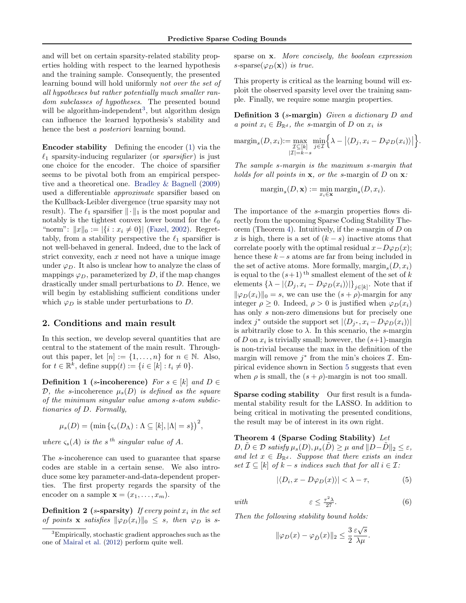<span id="page-2-0"></span>and will bet on certain sparsity-related stability properties holding with respect to the learned hypothesis and the training sample. Consequently, the presented learning bound will hold uniformly not over the set of all hypotheses but rather potentially much smaller random *subclasses* of *hypotheses*. The presented bound will be algorithm-independent<sup>3</sup>, but algorithm design can influence the learned hypothesis's stability and hence the best a posteriori learning bound.

Encoder stability Defining the encoder [\(1\)](#page-1-0) via the  $\ell_1$  sparsity-inducing regularizer (or *sparsifier*) is just one choice for the encoder. The choice of sparsifier seems to be pivotal both from an empirical perspective and a theoretical one. [Bradley & Bagnell](#page-8-0) [\(2009\)](#page-8-0) used a differentiable approximate sparsifier based on the Kullback-Leibler divergence (true sparsity may not result). The  $\ell_1$  sparsifier  $\|\cdot\|_1$  is the most popular and notably is the tightest convex lower bound for the  $\ell_0$ "norm":  $||x||_0 := |\{i : x_i \neq 0\}|$  [\(Fazel,](#page-8-0) [2002\)](#page-8-0). Regrettably, from a stability perspective the  $\ell_1$  sparsifier is not well-behaved in general. Indeed, due to the lack of strict convexity, each  $x$  need not have a unique image under  $\varphi_D$ . It also is unclear how to analyze the class of mappings  $\varphi_D$ , parameterized by D, if the map changes drastically under small perturbations to D. Hence, we will begin by establishing sufficient conditions under which  $\varphi_D$  is stable under perturbations to D.

### 2. Conditions and main result

In this section, we develop several quantities that are central to the statement of the main result. Throughout this paper, let  $[n] := \{1, \ldots, n\}$  for  $n \in \mathbb{N}$ . Also, for  $t \in \mathbb{R}^k$ , define supp $(t) := \{i \in [k] : t_i \neq 0\}.$ 

Definition 1 (s-incoherence) For  $s \in [k]$  and  $D \in$ D, the s-incoherence  $\mu_s(D)$  is defined as the square of the minimum singular value among s-atom subdictionaries of D. Formally,

$$
\mu_s(D) = \big(\min\left\{ \varsigma_s(D_\Lambda) : \Lambda \subseteq [k], |\Lambda| = s \right\} \big)^2,
$$

where  $\varsigma_s(A)$  is the s<sup>th</sup> singular value of A.

The s-incoherence can used to guarantee that sparse codes are stable in a certain sense. We also introduce some key parameter-and-data-dependent properties. The first property regards the sparsity of the encoder on a sample  $\mathbf{x} = (x_1, \ldots, x_m)$ .

**Definition 2** (s-sparsity) If every point  $x_i$  in the set of points **x** satisfies  $\|\varphi_D(x_i)\|_0 \leq s$ , then  $\varphi_D$  is ssparse on x. More concisely, the boolean expression s-sparse( $\varphi_D(\mathbf{x})$ ) is true.

This property is critical as the learning bound will exploit the observed sparsity level over the training sample. Finally, we require some margin properties.

Definition 3 (s-margin) Given a dictionary D and a point  $x_i \in B_{\mathbb{R}^d}$ , the s-margin of D on  $x_i$  is

$$
\underset{|Z|=k-s}{\text{margin}_s(D,x_i)} := \underset{|Z|=k-s}{\text{max}} \underset{j\in\mathcal{I}}{\text{min}} \Big\{ \lambda - \big|\langle D_j, x_i - D\varphi_D(x_i)\rangle \big| \Big\}.
$$

The sample s-margin is the maximum s-margin that holds for all points in  $x$ , or the s-margin of  $D$  on  $x$ :

$$
\mathrm{margin}_s(D, \mathbf{x}) := \min_{x_i \in \mathbf{x}} \mathrm{margin}_s(D, x_i).
$$

The importance of the s-margin properties flows directly from the upcoming Sparse Coding Stability Theorem (Theorem 4). Intuitively, if the s-margin of D on x is high, there is a set of  $(k - s)$  inactive atoms that correlate poorly with the optimal residual  $x-D\varphi_D(x);$ hence these  $k - s$  atoms are far from being included in the set of active atoms. More formally,  $\text{margin}_s(D, x_i)$ is equal to the  $(s+1)$ <sup>th</sup> smallest element of the set of k elements  $\{\lambda - |\langle D_j, x_i - D\varphi_D(x_i)\rangle|\}_{j\in[k]}$ . Note that if  $\|\varphi_D(x_i)\|_0 = s$ , we can use the  $(s + \rho)$ -margin for any integer  $\rho \geq 0$ . Indeed,  $\rho > 0$  is justified when  $\varphi_D(x_i)$ has only s non-zero dimensions but for precisely one index j<sup>\*</sup> outside the support set  $|\langle D_{j^*}, x_i - D\varphi_D(x_i)\rangle|$ is arbitrarily close to  $\lambda$ . In this scenario, the s-margin of D on  $x_i$  is trivially small; however, the  $(s+1)$ -margin is non-trivial because the max in the definition of the margin will remove  $j^*$  from the min's choices  $\mathcal{I}$ . Empirical evidence shown in Section [5](#page-7-0) suggests that even when  $\rho$  is small, the  $(s + \rho)$ -margin is not too small.

Sparse coding stability Our first result is a fundamental stability result for the LASSO. In addition to being critical in motivating the presented conditions, the result may be of interest in its own right.

#### Theorem 4 (Sparse Coding Stability) Let

 $D, \tilde{D} \in \mathcal{D}$  satisfy  $\mu_s(D), \mu_s(D) \geq \mu$  and  $||D-D||_2 \leq \varepsilon$ , and let  $x \in B_{\mathbb{R}^d}$ . Suppose that there exists an index set  $\mathcal{I} \subseteq [k]$  of  $k - s$  indices such that for all  $i \in \mathcal{I}$ :

$$
|\langle D_i, x - D\varphi_D(x) \rangle| < \lambda - \tau,\tag{5}
$$

 $rac{1}{27}$ . (6)

with  $\varepsilon \leq \frac{\tau^2 \lambda}{27}$ 

Then the following stability bound holds:

$$
\|\varphi_D(x) - \varphi_{\tilde{D}}(x)\|_2 \le \frac{3}{2} \frac{\varepsilon \sqrt{s}}{\lambda \mu}.
$$

<sup>&</sup>lt;sup>3</sup>Empirically, stochastic gradient approaches such as the one of [Mairal et al.](#page-8-0) [\(2012\)](#page-8-0) perform quite well.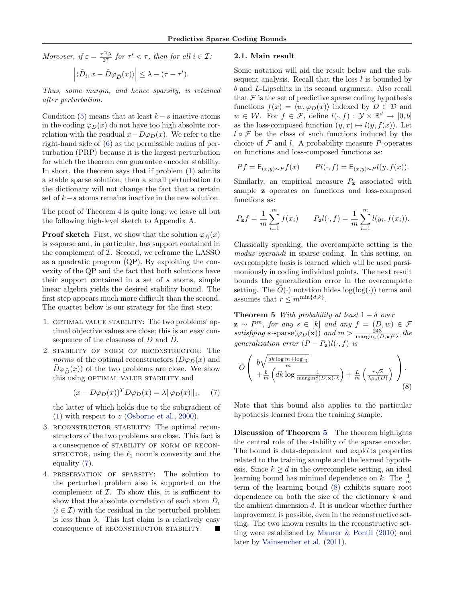<span id="page-3-0"></span>Moreover, if  $\varepsilon = \frac{\tau'^2 \lambda}{27}$  for  $\tau' < \tau$ , then for all  $i \in \mathcal{I}$ :

$$
\left| \langle \tilde{D}_i, x - \tilde{D}\varphi_{\tilde{D}}(x) \rangle \right| \leq \lambda - (\tau - \tau').
$$

Thus, some margin, and hence sparsity, is retained after perturbation.

Condition [\(5\)](#page-2-0) means that at least  $k - s$  inactive atoms in the coding  $\varphi_D(x)$  do not have too high absolute correlation with the residual  $x-D\varphi_D(x)$ . We refer to the right-hand side of [\(6\)](#page-2-0) as the permissible radius of perturbation (PRP) because it is the largest perturbation for which the theorem can guarantee encoder stability. In short, the theorem says that if problem [\(1\)](#page-1-0) admits a stable sparse solution, then a small perturbation to the dictionary will not change the fact that a certain set of  $k-s$  atoms remains inactive in the new solution.

The proof of Theorem [4](#page-2-0) is quite long; we leave all but the following high-level sketch to Appendix A.

**Proof sketch** First, we show that the solution  $\varphi_{\tilde{D}}(x)$ is s-sparse and, in particular, has support contained in the complement of  $I$ . Second, we reframe the LASSO as a quadratic program (QP). By exploiting the convexity of the QP and the fact that both solutions have their support contained in a set of  $s$  atoms, simple linear algebra yields the desired stability bound. The first step appears much more difficult than the second. The quartet below is our strategy for the first step:

- 1. OPTIMAL VALUE STABILITY: The two problems' optimal objective values are close; this is an easy consequence of the closeness of  $D$  and  $D$ .
- 2. stability of norm of reconstructor: The norms of the optimal reconstructors  $(D\varphi_D(x))$  and  $\tilde{D}\varphi_{\tilde{D}}(x)$  of the two problems are close. We show this using OPTIMAL VALUE STABILITY and

$$
(x - D\varphi_D(x))^T D\varphi_D(x) = \lambda \|\varphi_D(x)\|_1, \quad (7)
$$

the latter of which holds due to the subgradient of [\(1\)](#page-1-0) with respect to z [\(Osborne et al.,](#page-8-0) [2000\)](#page-8-0).

- 3. reconstructor stability: The optimal reconstructors of the two problems are close. This fact is a consequence of stability of norm of recon-STRUCTOR, using the  $\ell_1$  norm's convexity and the equality (7).
- 4. preservation of sparsity: The solution to the perturbed problem also is supported on the complement of  $I$ . To show this, it is sufficient to show that the absolute correlation of each atom  $\tilde{D}_i$  $(i \in \mathcal{I})$  with the residual in the perturbed problem is less than  $\lambda$ . This last claim is a relatively easy consequence of RECONSTRUCTOR STABILITY.

### 2.1. Main result

Some notation will aid the result below and the subsequent analysis. Recall that the loss  $l$  is bounded by b and L-Lipschitz in its second argument. Also recall that  $\mathcal F$  is the set of predictive sparse coding hypothesis functions  $f(x) = \langle w, \varphi_D(x) \rangle$  indexed by  $D \in \mathcal{D}$  and  $w \in \mathcal{W}$ . For  $f \in \mathcal{F}$ , define  $l(\cdot, f) : \mathcal{Y} \times \mathbb{R}^d \to [0, b]$ as the loss-composed function  $(y, x) \mapsto l(y, f(x))$ . Let  $l \circ \mathcal{F}$  be the class of such functions induced by the choice of  $\mathcal F$  and l. A probability measure P operates on functions and loss-composed functions as:

$$
Pf = \mathsf{E}_{(x,y)\sim P}f(x) \qquad Pl(\cdot, f) = \mathsf{E}_{(x,y)\sim P}l(y, f(x)).
$$

Similarly, an empirical measure  $P_{\mathbf{z}}$  associated with sample z operates on functions and loss-composed functions as:

$$
P_{z}f = \frac{1}{m}\sum_{i=1}^{m} f(x_i) \qquad P_{z}l(\cdot, f) = \frac{1}{m}\sum_{i=1}^{m} l(y_i, f(x_i)).
$$

Classically speaking, the overcomplete setting is the modus operandi in sparse coding. In this setting, an overcomplete basis is learned which will be used parsimoniously in coding individual points. The next result bounds the generalization error in the overcomplete setting. The  $\tilde{O}(\cdot)$  notation hides log(log( $\cdot$ )) terms and assumes that  $r \leq m^{\min\{d,k\}}$ .

**Theorem 5** With probability at least  $1 - \delta$  over  $\mathbf{z} \sim P^m$ , for any  $s \in [k]$  and any  $f = (D, w) \in \mathcal{F}$ satisfying s-sparse $(\varphi_D(\mathbf{x}))$  and  $m > \frac{243}{\text{margin}_s(D,\mathbf{x})^2 \lambda}$ , the generalization error  $(P - P_{z})l(\cdot, f)$  is

$$
\tilde{O}\left(\begin{array}{c}b\sqrt{\frac{dk\log m + \log\frac{1}{\delta}}{m}} \\ +\frac{b}{m}\left(dk\log\frac{1}{\mathrm{margin}_{s}^{2}(D,\mathbf{x})\cdot\lambda}\right) + \frac{L}{m}\left(\frac{r\sqrt{s}}{\lambda\mu_{s}(D)}\right)\end{array}\right).
$$
\n(8)

Note that this bound also applies to the particular hypothesis learned from the training sample.

Discussion of Theorem 5 The theorem highlights the central role of the stability of the sparse encoder. The bound is data-dependent and exploits properties related to the training sample and the learned hypothesis. Since  $k \geq d$  in the overcomplete setting, an ideal learning bound has minimal dependence on k. The  $\frac{1}{m}$ term of the learning bound (8) exhibits square root dependence on both the size of the dictionary k and the ambient dimension d. It is unclear whether further improvement is possible, even in the reconstructive setting. The two known results in the reconstructive setting were established by [Maurer & Pontil](#page-8-0) [\(2010\)](#page-8-0) and later by [Vainsencher et al.](#page-8-0) [\(2011\)](#page-8-0).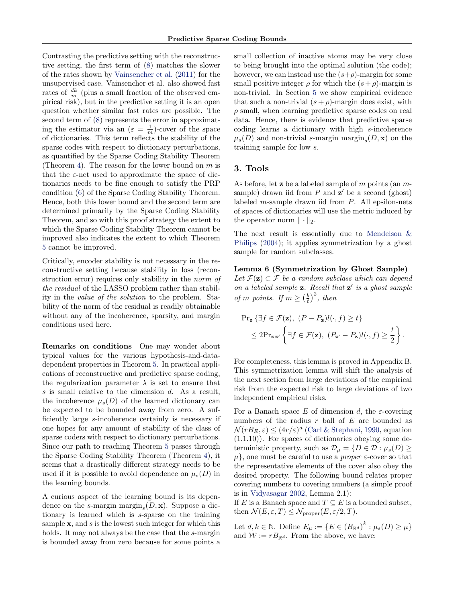<span id="page-4-0"></span>Contrasting the predictive setting with the reconstructive setting, the first term of [\(8\)](#page-3-0) matches the slower of the rates shown by [Vainsencher et al.](#page-8-0) [\(2011\)](#page-8-0) for the unsupervised case. Vainsencher et al. also showed fast rates of  $\frac{dk}{m}$  (plus a small fraction of the observed empirical risk), but in the predictive setting it is an open question whether similar fast rates are possible. The second term of [\(8\)](#page-3-0) represents the error in approximating the estimator via an  $(\varepsilon = \frac{1}{m})$ -cover of the space of dictionaries. This term reflects the stability of the sparse codes with respect to dictionary perturbations, as quantified by the Sparse Coding Stability Theorem (Theorem [4\)](#page-2-0). The reason for the lower bound on  $m$  is that the  $\varepsilon$ -net used to approximate the space of dictionaries needs to be fine enough to satisfy the PRP condition [\(6\)](#page-2-0) of the Sparse Coding Stability Theorem. Hence, both this lower bound and the second term are determined primarily by the Sparse Coding Stability Theorem, and so with this proof strategy the extent to which the Sparse Coding Stability Theorem cannot be improved also indicates the extent to which Theorem [5](#page-3-0) cannot be improved.

Critically, encoder stability is not necessary in the reconstructive setting because stability in loss (reconstruction error) requires only stability in the norm of the residual of the LASSO problem rather than stability in the value of the solution to the problem. Stability of the norm of the residual is readily obtainable without any of the incoherence, sparsity, and margin conditions used here.

Remarks on conditions One may wonder about typical values for the various hypothesis-and-datadependent properties in Theorem [5.](#page-3-0) In practical applications of reconstructive and predictive sparse coding, the regularization parameter  $\lambda$  is set to ensure that s is small relative to the dimension d. As a result, the incoherence  $\mu_s(D)$  of the learned dictionary can be expected to be bounded away from zero. A sufficiently large s-incoherence certainly is necessary if one hopes for any amount of stability of the class of sparse coders with respect to dictionary perturbations. Since our path to reaching Theorem [5](#page-3-0) passes through the Sparse Coding Stability Theorem (Theorem [4\)](#page-2-0), it seems that a drastically different strategy needs to be used if it is possible to avoid dependence on  $\mu_s(D)$  in the learning bounds.

A curious aspect of the learning bound is its dependence on the s-margin  $\text{margin}_s(D, \mathbf{x})$ . Suppose a dictionary is learned which is s-sparse on the training sample  $x$ , and  $s$  is the lowest such integer for which this holds. It may not always be the case that the s-margin is bounded away from zero because for some points a

small collection of inactive atoms may be very close to being brought into the optimal solution (the code); however, we can instead use the  $(s+\rho)$ -margin for some small positive integer  $\rho$  for which the  $(s+\rho)$ -margin is non-trivial. In Section [5](#page-7-0) we show empirical evidence that such a non-trivial  $(s + \rho)$ -margin does exist, with  $\rho$  small, when learning predictive sparse codes on real data. Hence, there is evidence that predictive sparse coding learns a dictionary with high s-incoherence  $\mu_s(D)$  and non-trivial s-margin  $\text{margin}_s(D, \mathbf{x})$  on the training sample for low s.

### 3. Tools

As before, let **z** be a labeled sample of m points (an  $m$ sample) drawn iid from  $P$  and  $z'$  be a second (ghost) labeled  $m$ -sample drawn iid from  $P$ . All epsilon-nets of spaces of dictionaries will use the metric induced by the operator norm  $\|\cdot\|_2$ .

The next result is essentially due to [Mendelson &](#page-8-0) [Philips](#page-8-0) [\(2004\)](#page-8-0); it applies symmetrization by a ghost sample for random subclasses.

Lemma 6 (Symmetrization by Ghost Sample) Let  $\mathcal{F}(\mathbf{z}) \subset \mathcal{F}$  be a random subclass which can depend on a labeled sample  $z$ . Recall that  $z'$  is a ghost sample of m points. If  $m \geq \left(\frac{b}{t}\right)^2$ , then

$$
\begin{aligned} &\Pr_{\mathbf{z}}\left\{\exists f \in \mathcal{F}(\mathbf{z}), \ (P - P_{\mathbf{z}})l(\cdot, f) \ge t\right\} \\ &\le 2\Pr_{\mathbf{z} \mathbf{z}'}\left\{\exists f \in \mathcal{F}(\mathbf{z}), \ (P_{\mathbf{z}'} - P_{\mathbf{z}})l(\cdot, f) \ge \frac{t}{2}\right\}.\end{aligned}
$$

For completeness, this lemma is proved in Appendix B. This symmetrization lemma will shift the analysis of the next section from large deviations of the empirical risk from the expected risk to large deviations of two independent empirical risks.

For a Banach space E of dimension d, the  $\varepsilon$ -covering numbers of the radius  $r$  ball of  $E$  are bounded as  $\mathcal{N}(rB_E, \varepsilon) \leq (4r/\varepsilon)^d$  [\(Carl & Stephani,](#page-8-0) [1990,](#page-8-0) equation (1.1.10)). For spaces of dictionaries obeying some deterministic property, such as  $\mathcal{D}_{\mu} = \{D \in \mathcal{D} : \mu_s(D) \geq$  $\mu$ , one must be careful to use a *proper*  $\varepsilon$ -cover so that the representative elements of the cover also obey the desired property. The following bound relates proper covering numbers to covering numbers (a simple proof is in [Vidyasagar](#page-8-0) [2002,](#page-8-0) Lemma 2.1):

If E is a Banach space and  $T \subseteq E$  is a bounded subset, then  $\mathcal{N}(E, \varepsilon, T) \leq \mathcal{N}_{\text{proper}}(E, \varepsilon/2, T)$ .

Let  $d, k \in \mathbb{N}$ . Define  $E_{\mu} := \{ E \in (B_{\mathbb{R}^d})^k : \mu_s(D) \ge \mu \}$ and  $W := rB_{\mathbb{R}^d}$ . From the above, we have: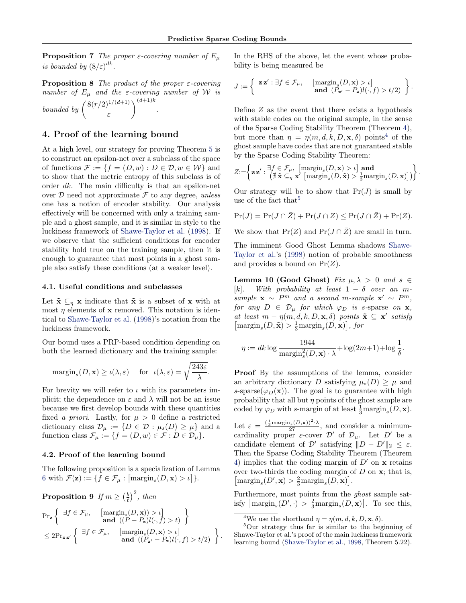<span id="page-5-0"></span>**Proposition 7** The proper  $\varepsilon$ -covering number of  $E_\mu$ is bounded by  $(8/\varepsilon)^{dk}$ .

**Proposition 8** The product of the proper  $\varepsilon$ -covering number of  $E_{\mu}$  and the *ε*-covering number of W is

bounded by  $\left(\frac{8(r/2)^{1/(d+1)}}{r}\right)$ ε  $\bigg)^{(d+1)k}$ .

### 4. Proof of the learning bound

At a high level, our strategy for proving Theorem [5](#page-3-0) is to construct an epsilon-net over a subclass of the space of functions  $\mathcal{F} := \{f = (D, w) : D \in \mathcal{D}, w \in \mathcal{W}\}\$ and to show that the metric entropy of this subclass is of order dk. The main difficulty is that an epsilon-net over  $D$  need not approximate  $\mathcal F$  to any degree, unless one has a notion of encoder stability. Our analysis effectively will be concerned with only a training sample and a ghost sample, and it is similar in style to the luckiness framework of [Shawe-Taylor et al.](#page-8-0) [\(1998\)](#page-8-0). If we observe that the sufficient conditions for encoder stability hold true on the training sample, then it is enough to guarantee that most points in a ghost sample also satisfy these conditions (at a weaker level).

#### 4.1. Useful conditions and subclasses

Let  $\tilde{\mathbf{x}} \subseteq_{\eta} \mathbf{x}$  indicate that  $\tilde{\mathbf{x}}$  is a subset of  $\mathbf{x}$  with at most  $\eta$  elements of **x** removed. This notation is identical to [Shawe-Taylor et al.](#page-8-0) [\(1998\)](#page-8-0)'s notation from the luckiness framework.

Our bound uses a PRP-based condition depending on both the learned dictionary and the training sample:

$$
\mathrm{margin}_s(D, \mathbf{x}) \ge \iota(\lambda, \varepsilon) \quad \text{ for } \ \iota(\lambda, \varepsilon) = \sqrt{\frac{243\varepsilon}{\lambda}}.
$$

For brevity we will refer to  $\iota$  with its parameters implicit; the dependence on  $\varepsilon$  and  $\lambda$  will not be an issue because we first develop bounds with these quantities fixed a priori. Lastly, for  $\mu > 0$  define a restricted dictionary class  $\mathcal{D}_{\mu} := \{ D \in \mathcal{D} : \mu_s(D) \geq \mu \}$  and a function class  $\mathcal{F}_{\mu} := \{f = (D, w) \in \mathcal{F} : D \in \mathcal{D}_{\mu}\}.$ 

#### 4.2. Proof of the learning bound

The following proposition is a specialization of Lemma [6](#page-4-0) with  $\mathcal{F}(\mathbf{z}) := \{ f \in \mathcal{F}_{\mu} : [\text{margin}_{s}(D, \mathbf{x}) > \iota] \}.$ 

**Proposition 9** If  $m \geq \left(\frac{b}{t}\right)^2$ , then

$$
\Pr_{\mathbf{z}}\left\{\begin{array}{l}\exists f \in \mathcal{F}_{\mu}, \quad \left[\mathrm{margin}_s(D, \mathbf{x})) > t\right] \\ \text{and } \left((P - P_{\mathbf{z}})l(\cdot, f) > t\right) \\ \leq 2\Pr_{\mathbf{z} \mathbf{z}'}\left\{\begin{array}{l}\exists f \in \mathcal{F}_{\mu}, \quad \left[\mathrm{margin}_s(D, \mathbf{x}) > t\right] \\ \text{and } \left((P_{\mathbf{z}'} - P_{\mathbf{z}})l(\cdot, f) > t/2\right) \end{array}\right\}.\end{array}\right.
$$

In the RHS of the above, let the event whose probability is being measured be

$$
J := \left\{ \begin{array}{c} \mathbf{z} \, \mathbf{z}' : \exists f \in \mathcal{F}_{\mu}, \quad \begin{array}{c} [\mathrm{margin}_s(D, \mathbf{x}) > \iota] \\ \mathbf{and} \end{array} \right\} \\ \text{and} \begin{array}{c} (P_{\mathbf{z}'} - P_{\mathbf{z}})l(\cdot, f) > t/2) \end{array} \end{array} \right\}.
$$

Define Z as the event that there exists a hypothesis with stable codes on the original sample, in the sense of the Sparse Coding Stability Theorem (Theorem [4\)](#page-2-0), but more than  $\eta = \eta(m, d, k, D, \mathbf{x}, \delta)$  points<sup>4</sup> of the ghost sample have codes that are not guaranteed stable by the Sparse Coding Stability Theorem:

$$
Z\hspace{-0.1cm}:=\hspace{-0.1cm}\left\{\mathbf{z}\,\mathbf{z}':\hspace{-.1cm}\begin{array}{l} \exists f\in\mathcal{F}_{\mu}, \ \left[\mathrm{margin}_s(D,\mathbf{x})>\iota\right] \textbf{ and } \\ \left(\sharp\tilde{\mathbf{x}}\subseteq_\eta \mathbf{x}'\left[\mathrm{margin}_s(D,\tilde{\mathbf{x}})>\frac{1}{3}\mathrm{margin}_s(D,\mathbf{x})\right]\right)\end{array}\hspace{-0.1cm}\right\}.
$$

Our strategy will be to show that  $Pr(J)$  is small by use of the fact that  $5$ 

$$
\Pr(J) = \Pr(J \cap \bar{Z}) + \Pr(J \cap Z) \le \Pr(J \cap \bar{Z}) + \Pr(Z).
$$

We show that  $Pr(Z)$  and  $Pr(J \cap \overline{Z})$  are small in turn.

The imminent Good Ghost Lemma shadows [Shawe-](#page-8-0)[Taylor et al.'](#page-8-0)s [\(1998\)](#page-8-0) notion of probable smoothness and provides a bound on  $Pr(Z)$ .

Lemma 10 (Good Ghost) Fix  $\mu, \lambda > 0$  and  $s \in$ [k]. With probability at least  $1 - \delta$  over an msample  $\mathbf{x} \sim P^m$  and a second m-sample  $\mathbf{x}' \sim P^m$ , for any  $D \in \mathcal{D}_{\mu}$  for which  $\varphi_D$  is s-sparse on **x**, at least  $m - \eta(m, d, k, D, \mathbf{x}, \delta)$  points  $\tilde{\mathbf{x}} \subseteq \mathbf{x}'$  satisfy  $\left[\text{margin}_s(D, \tilde{\mathbf{x}}) > \frac{1}{3}\text{margin}_s(D, \mathbf{x})\right],$  for

$$
\eta := dk \log \frac{1944}{\text{margin}_s^2(D, \mathbf{x}) \cdot \lambda} + \log(2m+1) + \log \frac{1}{\delta}.
$$

Proof By the assumptions of the lemma, consider an arbitrary dictionary D satisfying  $\mu_s(D) > \mu$  and s-sparse( $\varphi_D(\mathbf{x})$ ). The goal is to guarantee with high probability that all but  $\eta$  points of the ghost sample are coded by  $\varphi_D$  with s-margin of at least  $\frac{1}{3}$ margin<sub>s</sub> $(D, \mathbf{x})$ .

Let  $\varepsilon = \frac{(\frac{1}{3} \text{margin}_s(D, \mathbf{x}))^2 \cdot \lambda}{27}$ , and consider a minimumcardinality proper  $\varepsilon$ -cover  $\mathcal{D}'$  of  $\mathcal{D}_{\mu}$ . Let  $D'$  be a candidate element of  $\mathcal{D}'$  satisfying  $||D - D'||_2 \leq \varepsilon$ . Then the Sparse Coding Stability Theorem (Theorem [4\)](#page-2-0) implies that the coding margin of  $D'$  on  $\bf{x}$  retains over two-thirds the coding margin of  $D$  on  $x$ ; that is,  $\left[\text{margin}_s(D',\mathbf{x}) > \frac{2}{3}\text{margin}_s(D,\mathbf{x})\right].$ 

Furthermore, most points from the ghost sample satisfy  $\left[\text{margin}_s(D', \cdot) > \frac{2}{3}\text{margin}_s(D, \mathbf{x})\right]$ . To see this,

<sup>&</sup>lt;sup>4</sup>We use the shorthand  $\eta = \eta(m, d, k, D, \mathbf{x}, \delta)$ .

<sup>5</sup>Our strategy thus far is similar to the beginning of Shawe-Taylor et al.'s proof of the main luckiness framework learning bound [\(Shawe-Taylor et al.,](#page-8-0) [1998,](#page-8-0) Theorem 5.22).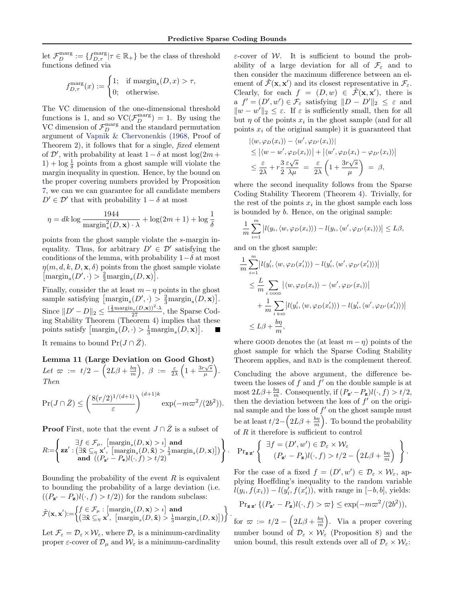.

.

<span id="page-6-0"></span>let  $\mathcal{F}_D^{\text{marg}} := \{ f_{D,\tau}^{\text{marg}} | \tau \in \mathbb{R}_+ \}$  be the class of threshold functions defined via

$$
f_{D,\tau}^{\text{marg}}(x) := \begin{cases} 1; & \text{if margin}_s(D, x) > \tau, \\ 0; & \text{otherwise.} \end{cases}
$$

The VC dimension of the one-dimensional threshold functions is 1, and so  $\text{VC}(\mathcal{F}_D^{\text{marg}}) = 1$ . By using the VC dimension of  $\mathcal{F}_D^{\text{marg}}$  and the standard permutation argument of [Vapnik & Chervonenkis](#page-8-0) [\(1968,](#page-8-0) Proof of Theorem 2), it follows that for a single, fixed element of  $\mathcal{D}'$ , with probability at least  $1 - \delta$  at most  $\log(2m + \epsilon)$ 1) + log  $\frac{1}{\delta}$  points from a ghost sample will violate the margin inequality in question. Hence, by the bound on the proper covering numbers provided by Proposition [7,](#page-4-0) we can we can guarantee for all candidate members  $D' \in \mathcal{D}'$  that with probability  $1 - \delta$  at most

$$
\eta = dk \log \frac{1944}{\text{margin}_s^2(D, \mathbf{x}) \cdot \lambda} + \log(2m + 1) + \log \frac{1}{\delta}
$$

points from the ghost sample violate the s-margin inequality. Thus, for arbitrary  $D' \in \mathcal{D}'$  satisfying the conditions of the lemma, with probability  $1-\delta$  at most  $\eta(m, d, k, D, \mathbf{x}, \delta)$  points from the ghost sample violate  $\left[\text{margin}_s(D',\cdot) > \frac{2}{3}\text{margin}_s(D,\mathbf{x})\right].$ 

Finally, consider the at least  $m-\eta$  points in the ghost sample satisfying  $\left[\text{margin}_s(D', \cdot) > \frac{2}{3} \text{margin}_s(D, \mathbf{x})\right]$ . Since  $||D' - D||_2 \le \frac{(\frac{1}{3} \text{margin}_s(D, \mathbf{x}))^2 \cdot \lambda}{27}$ , the Sparse Coding Stability Theorem (Theorem [4\)](#page-2-0) implies that these points satisfy  $\left[\text{margin}_s(D, \cdot) > \frac{1}{3}\text{margin}_s(D, \mathbf{x})\right]$ .

It remains to bound  $Pr(J \cap \bar{Z})$ .

Lemma 11 (Large Deviation on Good Ghost) Let  $\varpi := t/2 - \left(2L\beta + \frac{bn}{m}\right), \beta := \frac{\varepsilon}{2\lambda}\left(1 + \frac{3r\sqrt{s}}{\mu}\right)$  $\frac{\sqrt{s}}{\mu}\bigg).$ Then

$$
\Pr(J \cap \bar{Z}) \le \left(\frac{8(r/2)^{1/(d+1)}}{\varepsilon}\right)^{(d+1)k} \exp(-m\varpi^2/(2b^2)).
$$

**Proof** First, note that the event  $J \cap \overline{Z}$  is a subset of

$$
R = \left\{ \mathbf{z} \mathbf{z}' : \left( \exists \tilde{\mathbf{x}} \subseteq_{\eta} \mathbf{x}', \begin{bmatrix} \text{margin}_s(D, \mathbf{x}) > \iota \end{bmatrix} \mathbf{and} \begin{aligned} R := \left\{ \mathbf{z} \mathbf{z}' : \begin{bmatrix} \exists \tilde{\mathbf{x}} \subseteq_{\eta} \mathbf{x}', & \begin{bmatrix} \text{margin}_s(D, \tilde{\mathbf{x}}) > \frac{1}{3} \text{margin}_s(D, \mathbf{x}) \end{bmatrix} \end{aligned} \right) \right\}
$$

Bounding the probability of the event  $R$  is equivalent to bounding the probability of a large deviation (i.e.  $((P_{\mathbf{z}} - P_{\mathbf{z}})l(\cdot, f) > t/2)$  for the random subclass:

$$
\tilde{\mathcal{F}}(\mathbf{x}, \mathbf{x}') := \left\{ \begin{aligned} &f \in \mathcal{F}_{\mu} : \left[ \operatorname{margin}_s(D, \mathbf{x}) > \iota \right] \text{ and} \\ &\left( \exists \tilde{\mathbf{x}} \subseteq_{\eta} \mathbf{x}', \left[ \operatorname{margin}_s(D, \tilde{\mathbf{x}}) > \frac{1}{3} \operatorname{margin}_s(D, \mathbf{x}) \right] \right) \end{aligned} \right\}
$$

Let  $\mathcal{F}_{\varepsilon} = \mathcal{D}_{\varepsilon} \times \mathcal{W}_{\varepsilon}$ , where  $\mathcal{D}_{\varepsilon}$  is a minimum-cardinality proper  $\varepsilon$ -cover of  $\mathcal{D}_{\mu}$  and  $\mathcal{W}_{\varepsilon}$  is a minimum-cardinality

 $\varepsilon$ -cover of W. It is sufficient to bound the probability of a large deviation for all of  $\mathcal{F}_{\varepsilon}$  and to then consider the maximum difference between an element of  $\tilde{\mathcal{F}}(\mathbf{x}, \mathbf{x}')$  and its closest representative in  $\mathcal{F}_{\varepsilon}$ . Clearly, for each  $f = (D, w) \in \widetilde{\mathcal{F}}(\mathbf{x}, \mathbf{x}')$ , there is a  $f' = (D', w') \in \mathcal{F}_{\varepsilon}$  satisfying  $||D - D'||_2 \leq \varepsilon$  and  $||w - w'||_2 \leq \varepsilon$ . If  $\varepsilon$  is sufficiently small, then for all but  $\eta$  of the points  $x_i$  in the ghost sample (and for all points  $x_i$  of the original sample) it is guaranteed that

$$
\begin{aligned} &|\langle w, \varphi_D(x_i) \rangle - \langle w', \varphi_{D'}(x_i) \rangle| \\ &\leq |\langle w - w', \varphi_D(x_i) \rangle| + |\langle w', \varphi_D(x_i) - \varphi_{D'}(x_i) \rangle| \\ &\leq \frac{\varepsilon}{2\lambda} + r\frac{3}{2}\frac{\varepsilon\sqrt{s}}{\lambda\mu} = \frac{\varepsilon}{2\lambda} \left( 1 + \frac{3r\sqrt{s}}{\mu} \right) = \beta, \end{aligned}
$$

where the second inequality follows from the Sparse Coding Stability Theorem (Theorem [4\)](#page-2-0). Trivially, for the rest of the points  $x_i$  in the ghost sample each loss is bounded by b. Hence, on the original sample:

$$
\frac{1}{m}\sum_{i=1}^m |l(y_i, \langle w, \varphi_D(x_i) \rangle) - l(y_i, \langle w', \varphi_{D'}(x_i) \rangle)| \leq L\beta,
$$

and on the ghost sample:

$$
\frac{1}{m} \sum_{i=1}^{m} \left| l(y'_i, \langle w, \varphi_D(x'_i) \rangle) - l(y'_i, \langle w', \varphi_{D'}(x'_i) \rangle) \right|
$$
\n
$$
\leq \frac{L}{m} \sum_{i \text{ soon}} \left| \langle w, \varphi_D(x_i) \rangle - \langle w', \varphi_{D'}(x_i) \rangle \right|
$$
\n
$$
+ \frac{1}{m} \sum_{i \text{ BAD}} \left| l(y'_i, \langle w, \varphi_D(x'_i) \rangle) - l(y'_i, \langle w', \varphi_{D'}(x'_i) \rangle) \right|
$$
\n
$$
\leq L\beta + \frac{b\eta}{m},
$$

where GOOD denotes the (at least  $m - \eta$ ) points of the ghost sample for which the Sparse Coding Stability Theorem applies, and BAD is the complement thereof.

Concluding the above argument, the difference between the losses of  $f$  and  $f'$  on the double sample is at most  $2L\beta + \frac{b\eta}{m}$ . Consequently, if  $(P_{\mathbf{z}} - P_{\mathbf{z}})l(\cdot, f) > t/2$ , then the deviation between the loss of  $f'$  on the original sample and the loss of  $f'$  on the ghost sample must be at least  $t/2 - \left(2L\beta + \frac{b\eta}{m}\right)$ . To bound the probability of  $R$  it therefore is sufficient to control

$$
\mathrm{Pr}_{\mathbf{z}\,\mathbf{z}'}\left\{\begin{array}{l}\exists f=(D',w')\in\mathcal{D}_{\varepsilon}\times\mathcal{W}_{\varepsilon} \\ (P_{\mathbf{z}'}-P_{\mathbf{z}})l(\cdot,f)>t/2-\left(2L\beta+\frac{b\eta}{m}\right)\end{array}\right\}.
$$

For the case of a fixed  $f = (D', w') \in \mathcal{D}_{\varepsilon} \times \mathcal{W}_{\varepsilon}$ , applying Hoeffding's inequality to the random variable  $l(y_i, f(x_i)) - l(y'_i, f(x'_i))$ , with range in  $[-b, b]$ , yields:

$$
\Pr_{\mathbf{z}\,\mathbf{z}'}\{(P_{\mathbf{z}'}-P_{\mathbf{z}})l(\cdot,f) > \varpi\} \le \exp(-m\varpi^2/(2b^2)),
$$

for  $\varpi := t/2 - \left(2L\beta + \frac{b\eta}{m}\right)$ . Via a proper covering number bound of  $\mathcal{D}_{\varepsilon} \times \mathcal{W}_{\varepsilon}$  (Proposition [8\)](#page-5-0) and the union bound, this result extends over all of  $\mathcal{D}_{\varepsilon} \times \mathcal{W}_{\varepsilon}$ :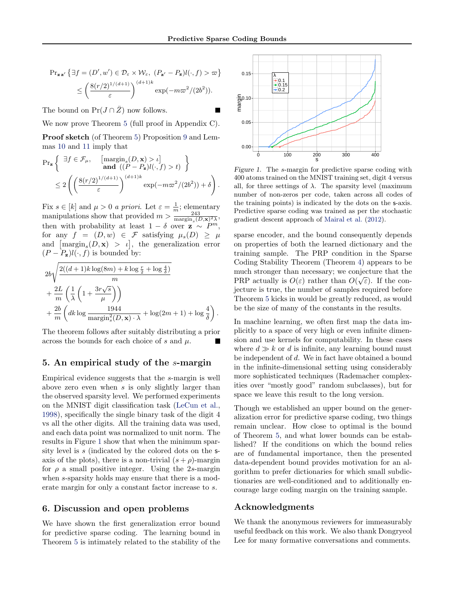<span id="page-7-0"></span>
$$
\Pr_{\mathbf{z}\mathbf{z}'}\left\{\exists f = (D', w') \in \mathcal{D}_{\varepsilon} \times \mathcal{W}_{\varepsilon}, \ (P_{\mathbf{z}'} - P_{\mathbf{z}})l(\cdot, f) > \varpi\right\}
$$

$$
\leq \left(\frac{8(r/2)^{1/(d+1)}}{\varepsilon}\right)^{(d+1)k} \exp(-m\varpi^2/(2b^2)).
$$

The bound on  $Pr(J \cap \bar{Z})$  now follows.

We now prove Theorem [5](#page-3-0) (full proof in Appendix C).

Proof sketch (of Theorem [5\)](#page-3-0) Proposition [9](#page-5-0) and Lemmas [10](#page-5-0) and [11](#page-6-0) imply that

$$
\Pr_{\mathbf{z}}\left\{\n\begin{array}{l}\n\exists f \in \mathcal{F}_{\mu}, \quad \left[\operatorname{margin}_s(D, \mathbf{x}) > \iota\right] \\
\text{and } \left((P - P_{\mathbf{z}})l(\cdot, f) > t\right)\n\end{array}\n\right\}
$$
\n
$$
\leq 2\left(\left(\frac{8(r/2)^{1/(d+1)}}{\varepsilon}\right)^{(d+1)k} \exp(-m\varpi^2/(2b^2)) + \delta\right).
$$

Fix  $s \in [k]$  and  $\mu > 0$  a priori. Let  $\varepsilon = \frac{1}{m}$ ; elementary manipulations show that provided  $m > \frac{m}{\text{margin}_s(D, \mathbf{x})^2 \lambda}$ , then with probability at least  $1 - \delta$  over  $\mathbf{z} \sim P^m$ , for any  $f = (D, w) \in \mathcal{F}$  satisfying  $\mu_s(D) \geq \mu$ and  $\left[\text{margin}_s(D, \mathbf{x}) > t\right]$ , the generalization error  $(P - P_{\mathbf{z}})l(\cdot, f)$  is bounded by:

$$
2b\sqrt{\frac{2((d+1)k\log(8m) + k\log\frac{r}{2} + \log\frac{4}{\delta})}{m}}
$$
  
+ 
$$
\frac{2L}{m}\left(\frac{1}{\lambda}\left(1 + \frac{3r\sqrt{s}}{\mu}\right)\right)
$$
  
+ 
$$
\frac{2b}{m}\left(dk\log\frac{1944}{\text{margin}_s^2(D, \mathbf{x})\cdot\lambda} + \log(2m+1) + \log\frac{4}{\delta}\right).
$$

The theorem follows after suitably distributing a prior across the bounds for each choice of s and  $\mu$ .

### 5. An empirical study of the s-margin

Empirical evidence suggests that the s-margin is well above zero even when s is only slightly larger than the observed sparsity level. We performed experiments on the MNIST digit classification task [\(LeCun et al.,](#page-8-0) [1998\)](#page-8-0), specifically the single binary task of the digit 4 vs all the other digits. All the training data was used, and each data point was normalized to unit norm. The results in Figure 1 show that when the minimum sparsity level is s (indicated by the colored dots on the saxis of the plots), there is a non-trivial  $(s + \rho)$ -margin for  $\rho$  a small positive integer. Using the 2s-margin when s-sparsity holds may ensure that there is a moderate margin for only a constant factor increase to s.

### 6. Discussion and open problems

We have shown the first generalization error bound for predictive sparse coding. The learning bound in Theorem [5](#page-3-0) is intimately related to the stability of the



Figure 1. The s-margin for predictive sparse coding with 400 atoms trained on the MNIST training set, digit 4 versus all, for three settings of  $\lambda$ . The sparsity level (maximum number of non-zeros per code, taken across all codes of the training points) is indicated by the dots on the s-axis. Predictive sparse coding was trained as per the stochastic gradient descent approach of [Mairal et al.](#page-8-0) [\(2012\)](#page-8-0).

sparse encoder, and the bound consequently depends on properties of both the learned dictionary and the training sample. The PRP condition in the Sparse Coding Stability Theorem (Theorem [4\)](#page-2-0) appears to be much stronger than necessary; we conjecture that the PRP actually is  $O(\varepsilon)$  rather than  $O(\sqrt{\varepsilon})$ . If the conjecture is true, the number of samples required before Theorem [5](#page-3-0) kicks in would be greatly reduced, as would be the size of many of the constants in the results.

In machine learning, we often first map the data implicitly to a space of very high or even infinite dimension and use kernels for computability. In these cases where  $d \gg k$  or d is infinite, any learning bound must be independent of d. We in fact have obtained a bound in the infinite-dimensional setting using considerably more sophisticated techniques (Rademacher complexities over "mostly good" random subclasses), but for space we leave this result to the long version.

Though we established an upper bound on the generalization error for predictive sparse coding, two things remain unclear. How close to optimal is the bound of Theorem [5,](#page-3-0) and what lower bounds can be established? If the conditions on which the bound relies are of fundamental importance, then the presented data-dependent bound provides motivation for an algorithm to prefer dictionaries for which small subdictionaries are well-conditioned and to additionally encourage large coding margin on the training sample.

## Acknowledgments

We thank the anonymous reviewers for immeasurably useful feedback on this work. We also thank Dongryeol Lee for many formative conversations and comments.